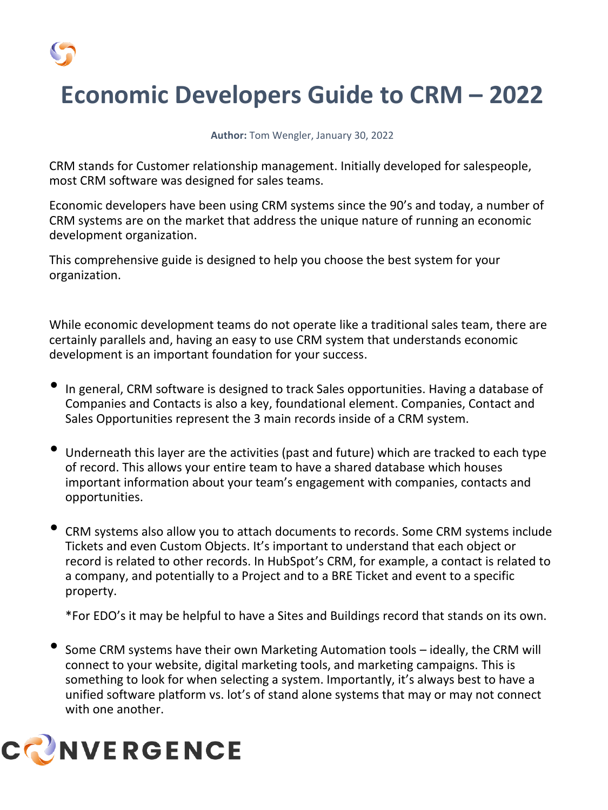

# **Economic Developers Guide to CRM – 2022**

#### **Author:** Tom Wengler, January 30, 2022

CRM stands for Customer relationship management. Initially developed for salespeople, most CRM software was designed for sales teams.

Economic developers have been using CRM systems since the 90's and today, a number of CRM systems are on the market that address the unique nature of running an economic development organization.

This comprehensive guide is designed to help you choose the best system for your organization.

While economic development teams do not operate like a traditional sales team, there are certainly parallels and, having an easy to use CRM system that understands economic development is an important foundation for your success.

- In general, CRM software is designed to track Sales opportunities. Having a database of Companies and Contacts is also a key, foundational element. Companies, Contact and Sales Opportunities represent the 3 main records inside of a CRM system.
- Underneath this layer are the activities (past and future) which are tracked to each type of record. This allows your entire team to have a shared database which houses important information about your team's engagement with companies, contacts and opportunities.
- CRM systems also allow you to attach documents to records. Some CRM systems include Tickets and even Custom Objects. It's important to understand that each object or record is related to other records. In HubSpot's CRM, for example, a contact is related to a company, and potentially to a Project and to a BRE Ticket and event to a specific property.

\*For EDO's it may be helpful to have a Sites and Buildings record that stands on its own.

• Some CRM systems have their own Marketing Automation tools – ideally, the CRM will connect to your website, digital marketing tools, and marketing campaigns. This is something to look for when selecting a system. Importantly, it's always best to have a unified software platform vs. lot's of stand alone systems that may or may not connect with one another.

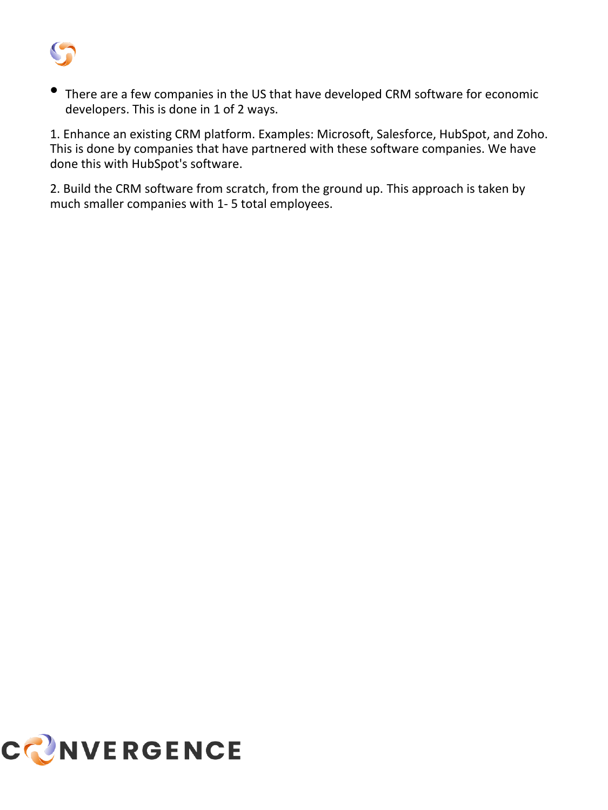

There are a few companies in the US that have developed CRM software for economic developers. This is done in 1 of 2 ways.

1. Enhance an existing CRM platform. Examples: Microsoft, Salesforce, HubSpot, and Zoho. This is done by companies that have partnered with these software companies. We have done this with HubSpot's software.

2. Build the CRM software from scratch, from the ground up. This approach is taken by much smaller companies with 1- 5 total employees.

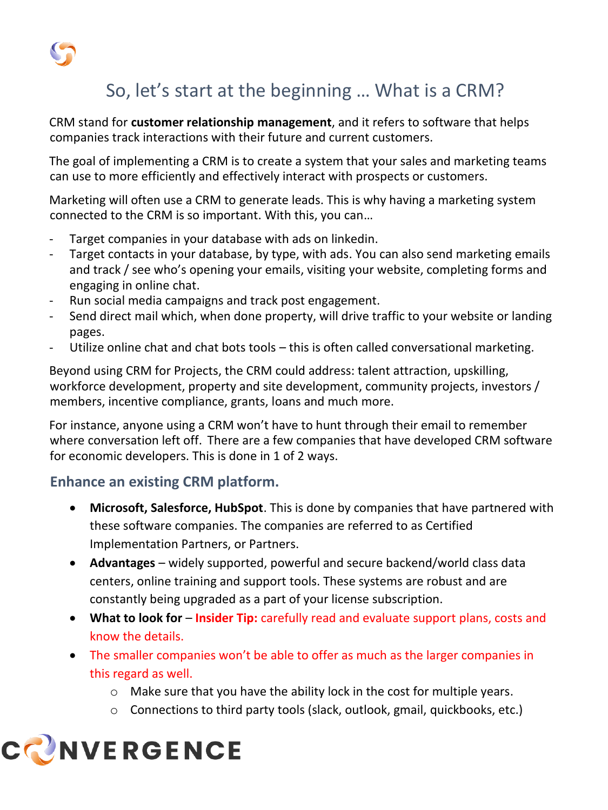

# So, let's start at the beginning … What is a CRM?

CRM stand for **customer relationship management**, and it refers to software that helps companies track interactions with their future and current customers.

The goal of implementing a CRM is to create a system that your sales and marketing teams can use to more efficiently and effectively interact with prospects or customers.

Marketing will often use a CRM to generate leads. This is why having a marketing system connected to the CRM is so important. With this, you can…

- Target companies in your database with ads on linkedin.
- Target contacts in your database, by type, with ads. You can also send marketing emails and track / see who's opening your emails, visiting your website, completing forms and engaging in online chat.
- Run social media campaigns and track post engagement.
- Send direct mail which, when done property, will drive traffic to your website or landing pages.
- Utilize online chat and chat bots tools this is often called conversational marketing.

Beyond using CRM for Projects, the CRM could address: talent attraction, upskilling, workforce development, property and site development, community projects, investors / members, incentive compliance, grants, loans and much more.

For instance, anyone using a CRM won't have to hunt through their email to remember where conversation left off. There are a few companies that have developed CRM software for economic developers. This is done in 1 of 2 ways.

## **Enhance an existing CRM platform.**

- **Microsoft, Salesforce, HubSpot**. This is done by companies that have partnered with these software companies. The companies are referred to as Certified Implementation Partners, or Partners.
- **Advantages**  widely supported, powerful and secure backend/world class data centers, online training and support tools. These systems are robust and are constantly being upgraded as a part of your license subscription.
- **What to look for Insider Tip:** carefully read and evaluate support plans, costs and know the details.
- The smaller companies won't be able to offer as much as the larger companies in this regard as well.
	- o Make sure that you have the ability lock in the cost for multiple years.
	- $\circ$  Connections to third party tools (slack, outlook, gmail, quickbooks, etc.)

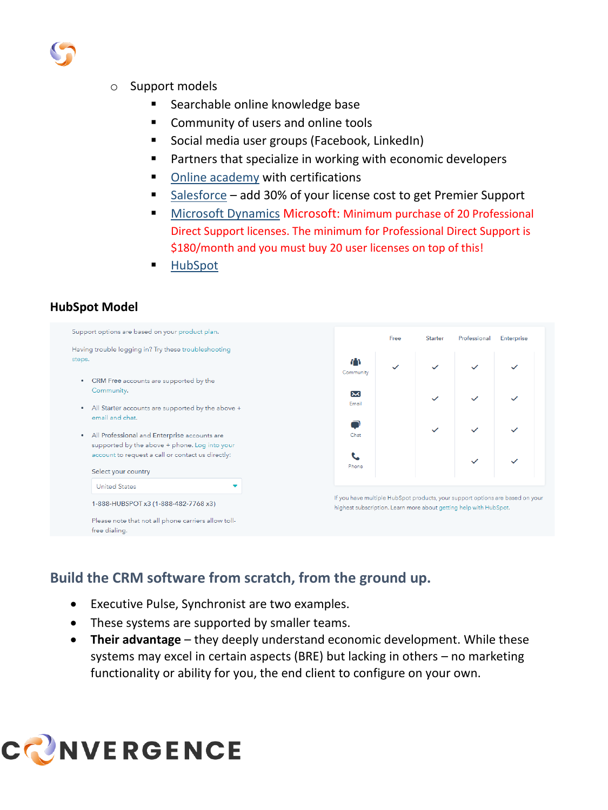

#### o Support models

- Searchable online knowledge base
- Community of users and online tools
- Social media user groups (Facebook, LinkedIn)
- Partners that specialize in working with economic developers
- [Online academy](https://academy.hubspot.com/) with certifications
- [Salesforce](https://www.salesforce.com/services/success-plans/overview/) add 30% of your license cost to get Premier Support
- [Microsoft Dynamics](https://dynamics.microsoft.com/en-us/support/) Microsoft: Minimum purchase of 20 Professional Direct Support licenses. The minimum for Professional Direct Support is \$180/month and you must buy 20 user licenses on top of this!
- **[HubSpot](https://help.hubspot.com/)**

#### **HubSpot Model**



## **Build the CRM software from scratch, from the ground up.**

- Executive Pulse, Synchronist are two examples.
- These systems are supported by smaller teams.
- **Their advantage**  they deeply understand economic development. While these systems may excel in certain aspects (BRE) but lacking in others – no marketing functionality or ability for you, the end client to configure on your own.

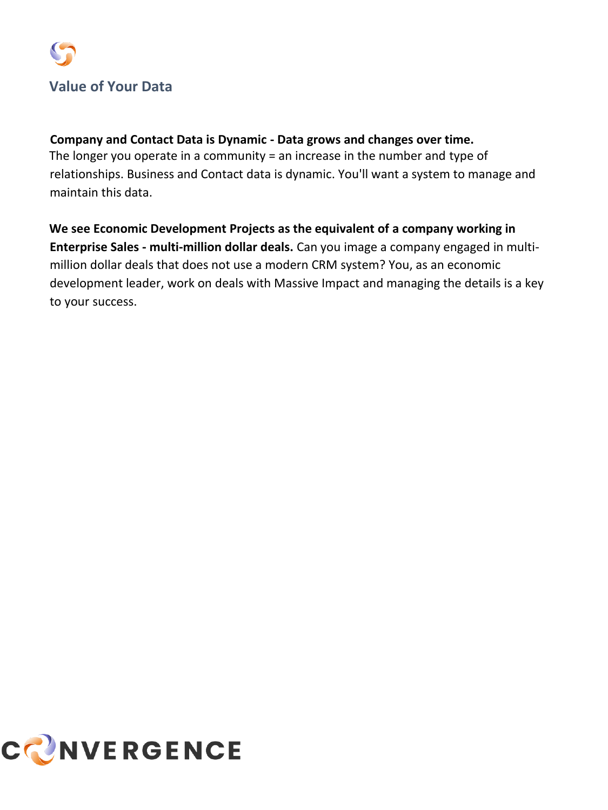

#### **Company and Contact Data is Dynamic - Data grows and changes over time.**

The longer you operate in a community = an increase in the number and type of relationships. Business and Contact data is dynamic. You'll want a system to manage and maintain this data.

**We see Economic Development Projects as the equivalent of a company working in Enterprise Sales - multi-million dollar deals.** Can you image a company engaged in multimillion dollar deals that does not use a modern CRM system? You, as an economic development leader, work on deals with Massive Impact and managing the details is a key to your success.

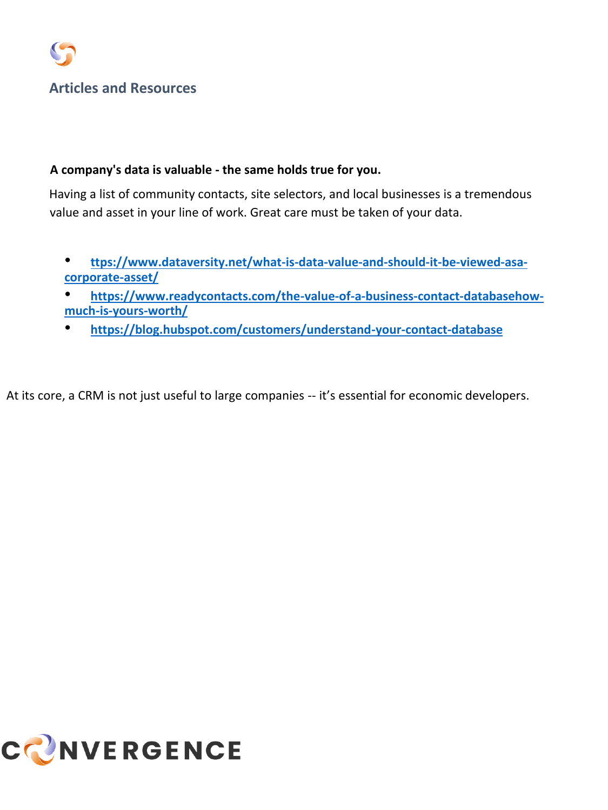#### **A company's data is valuable - the same holds true for you.**

Having a list of community contacts, site selectors, and local businesses is a tremendous value and asset in your line of work. Great care must be taken of your data.

- **[ttps://www.dataversity.net/what-is-data-value-and-should-it-be-viewed-asa](https://www.dataversity.net/what-is-data-value-and-should-it-be-viewed-as-a-corporate-asset/)[corporate-asset/](https://www.dataversity.net/what-is-data-value-and-should-it-be-viewed-as-a-corporate-asset/)**
- **[https://www.readycontacts.com/the-value-of-a-business-contact-databasehow](https://www.readycontacts.com/the-value-of-a-business-contact-database-how-much-is-yours-worth/)[much-is-yours-worth/](https://www.readycontacts.com/the-value-of-a-business-contact-database-how-much-is-yours-worth/)**
- **<https://blog.hubspot.com/customers/understand-your-contact-database>**

At its core, a CRM is not just useful to large companies -- it's essential for economic developers.

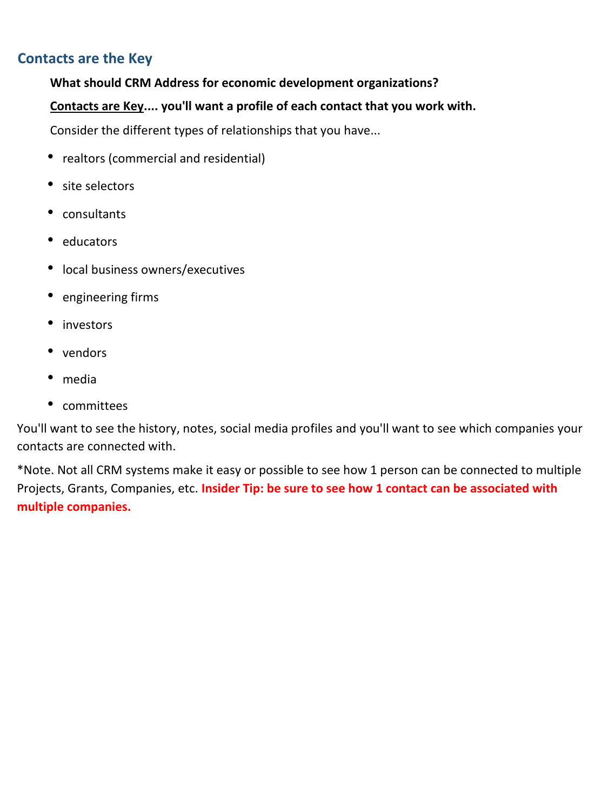## **Contacts are the Key**

#### **What should CRM Address for economic development organizations?**

#### **Contacts are Key.... you'll want a profile of each contact that you work with.**

Consider the different types of relationships that you have...

- realtors (commercial and residential)
- site selectors
- consultants
- educators
- local business owners/executives
- engineering firms
- investors
- vendors
- media
- committees

You'll want to see the history, notes, social media profiles and you'll want to see which companies your contacts are connected with.

\*Note. Not all CRM systems make it easy or possible to see how 1 person can be connected to multiple Projects, Grants, Companies, etc. **Insider Tip: be sure to see how 1 contact can be associated with multiple companies.**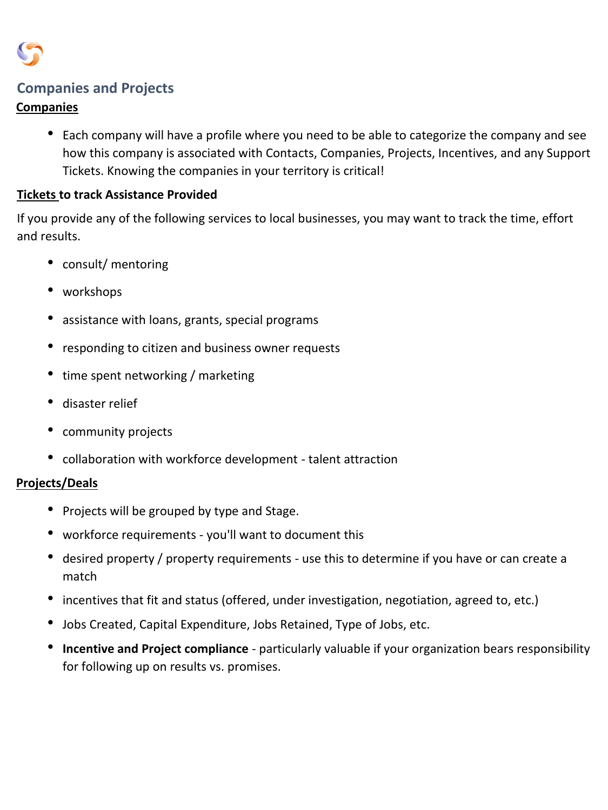

## **Companies and Projects**

#### **Companies**

• Each company will have a profile where you need to be able to categorize the company and see how this company is associated with Contacts, Companies, Projects, Incentives, and any Support Tickets. Knowing the companies in your territory is critical!

#### **Tickets to track Assistance Provided**

If you provide any of the following services to local businesses, you may want to track the time, effort and results.

- consult/ mentoring
- workshops
- assistance with loans, grants, special programs
- responding to citizen and business owner requests
- time spent networking / marketing
- disaster relief
- community projects
- collaboration with workforce development talent attraction

#### **Projects/Deals**

- Projects will be grouped by type and Stage.
- workforce requirements you'll want to document this
- desired property / property requirements use this to determine if you have or can create a match
- incentives that fit and status (offered, under investigation, negotiation, agreed to, etc.)
- Jobs Created, Capital Expenditure, Jobs Retained, Type of Jobs, etc.
- **Incentive and Project compliance**  particularly valuable if your organization bears responsibility for following up on results vs. promises.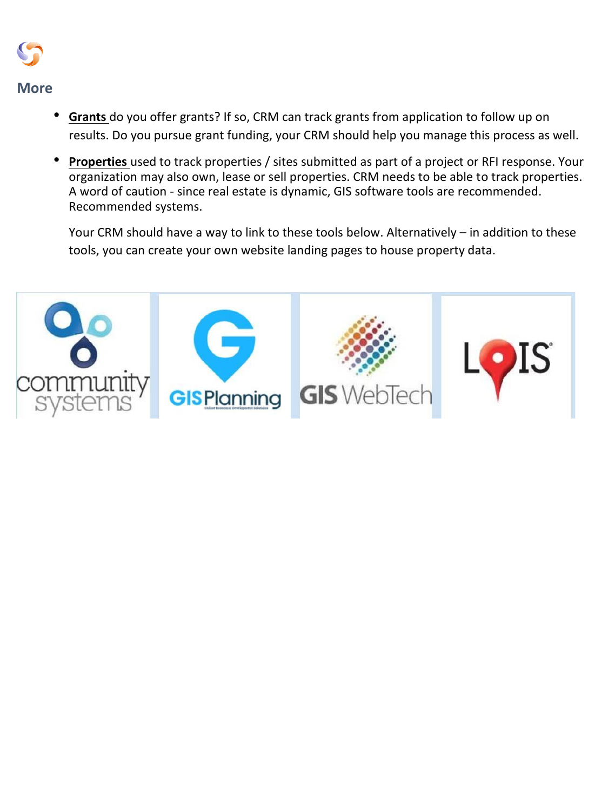

- **Grants** do you offer grants? If so, CRM can track grants from application to follow up on results. Do you pursue grant funding, your CRM should help you manage this process as well.
- **Properties** used to track properties / sites submitted as part of a project or RFI response. Your organization may also own, lease or sell properties. CRM needs to be able to track properties. A word of caution - since real estate is dynamic, GIS software tools are recommended. Recommended systems.

Your CRM should have a way to link to these tools below. Alternatively – in addition to these tools, you can create your own website landing pages to house property data.

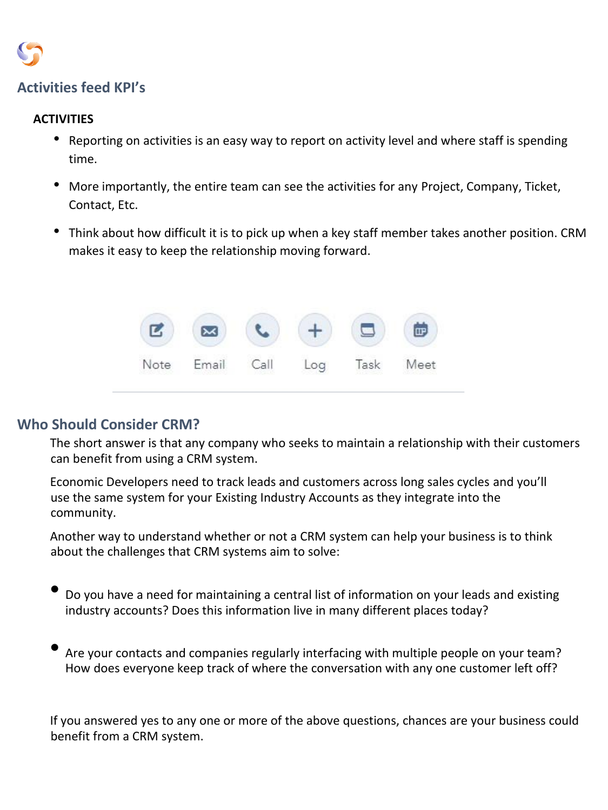

## **Activities feed KPI's**

#### **ACTIVITIES**

- Reporting on activities is an easy way to report on activity level and where staff is spending time.
- More importantly, the entire team can see the activities for any Project, Company, Ticket, Contact, Etc.
- Think about how difficult it is to pick up when a key staff member takes another position. CRM makes it easy to keep the relationship moving forward.



### **Who Should Consider CRM?**

The short answer is that any company who seeks to maintain a relationship with their customers can benefit from using a CRM system.

Economic Developers need to track leads and customers across long sales cycles and you'll use the same system for your Existing Industry Accounts as they integrate into the community.

Another way to understand whether or not a CRM system can help your business is to think about the challenges that CRM systems aim to solve:

- Do you have a need for maintaining a central list of information on your leads and existing industry accounts? Does this information live in many different places today?
- Are your contacts and companies regularly interfacing with multiple people on your team? How does everyone keep track of where the conversation with any one customer left off?

If you answered yes to any one or more of the above questions, chances are your business could benefit from a CRM system.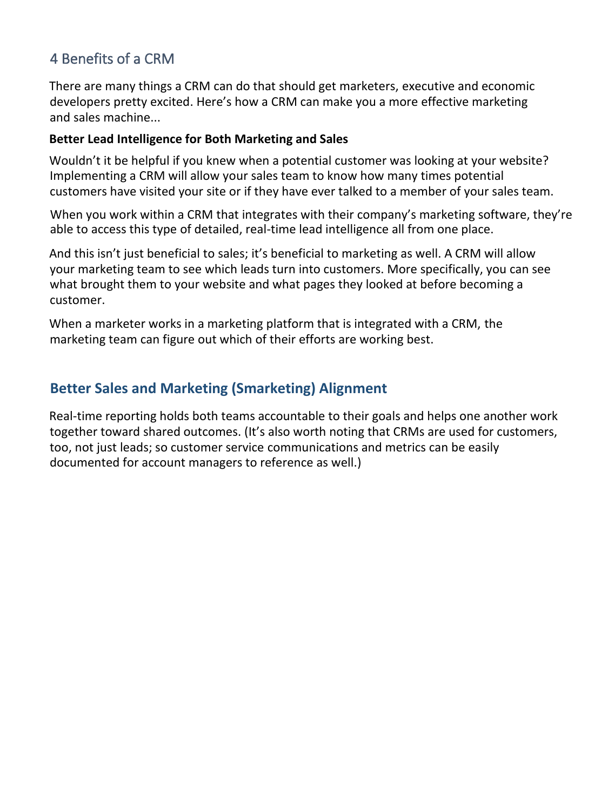## 4 Benefits of a CRM

There are many things a CRM can do that should get marketers, executive and economic developers pretty excited. Here's how a CRM can make you a more effective marketing and sales machine...

#### **Better Lead Intelligence for Both Marketing and Sales**

Wouldn't it be helpful if you knew when a potential customer was looking at your website? Implementing a CRM will allow your sales team to know how many times potential customers have visited your site or if they have ever talked to a member of your sales team.

When you work within a CRM that integrates with their company's marketing software, they're able to access this type of detailed, real-time lead intelligence all from one place.

And this isn't just beneficial to sales; it's beneficial to marketing as well. A CRM will allow your marketing team to see which leads turn into customers. More specifically, you can see what brought them to your website and what pages they looked at before becoming a customer.

When a marketer works in a marketing platform that is integrated with a CRM, the marketing team can figure out which of their efforts are working best.

## **Better Sales and Marketing (Smarketing) Alignment**

Real-time reporting holds both teams accountable to their goals and helps one another work together toward shared outcomes. (It's also worth noting that CRMs are used for customers, too, not just leads; so customer service communications and metrics can be easily documented for account managers to reference as well.)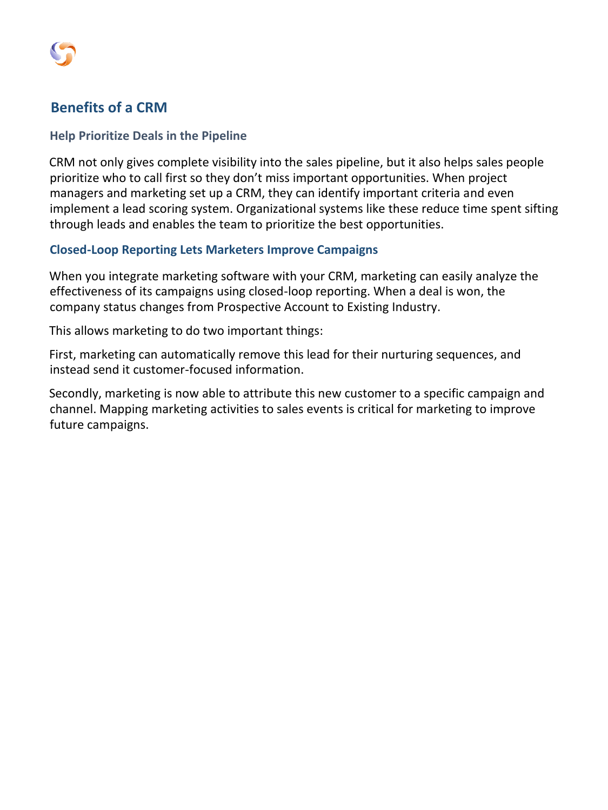

## **Benefits of a CRM**

#### **Help Prioritize Deals in the Pipeline**

CRM not only gives complete visibility into the sales pipeline, but it also helps sales people prioritize who to call first so they don't miss important opportunities. When project managers and marketing set up a CRM, they can identify important criteria and even implement a lead scoring system. Organizational systems like these reduce time spent sifting through leads and enables the team to prioritize the best opportunities.

#### **Closed-Loop Reporting Lets Marketers Improve Campaigns**

When you integrate marketing software with your CRM, marketing can easily analyze the effectiveness of its campaigns using closed-loop reporting. When a deal is won, the company status changes from Prospective Account to Existing Industry.

This allows marketing to do two important things:

First, marketing can automatically remove this lead for their nurturing sequences, and instead send it customer-focused information.

Secondly, marketing is now able to attribute this new customer to a specific campaign and channel. Mapping marketing activities to sales events is critical for marketing to improve future campaigns.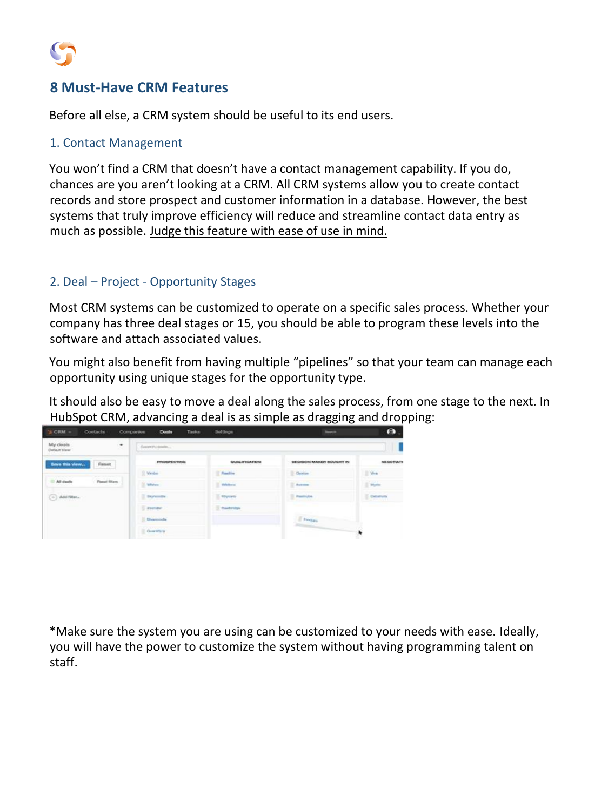

## **8 Must-Have CRM Features**

Before all else, a CRM system should be useful to its end users.

#### 1. Contact Management

You won't find a CRM that doesn't have a contact management capability. If you do, chances are you aren't looking at a CRM. All CRM systems allow you to create contact records and store prospect and customer information in a database. However, the best systems that truly improve efficiency will reduce and streamline contact data entry as much as possible. Judge this feature with ease of use in mind.

#### 2. Deal – Project - Opportunity Stages

Most CRM systems can be customized to operate on a specific sales process. Whether your company has three deal stages or 15, you should be able to program these levels into the software and attach associated values.

You might also benefit from having multiple "pipelines" so that your team can manage each opportunity using unique stages for the opportunity type.

It should also be easy to move a deal along the sales process, from one stage to the next. In HubSpot CRM, advancing a deal is as simple as dragging and dropping:



\*Make sure the system you are using can be customized to your needs with ease. Ideally, you will have the power to customize the system without having programming talent on staff.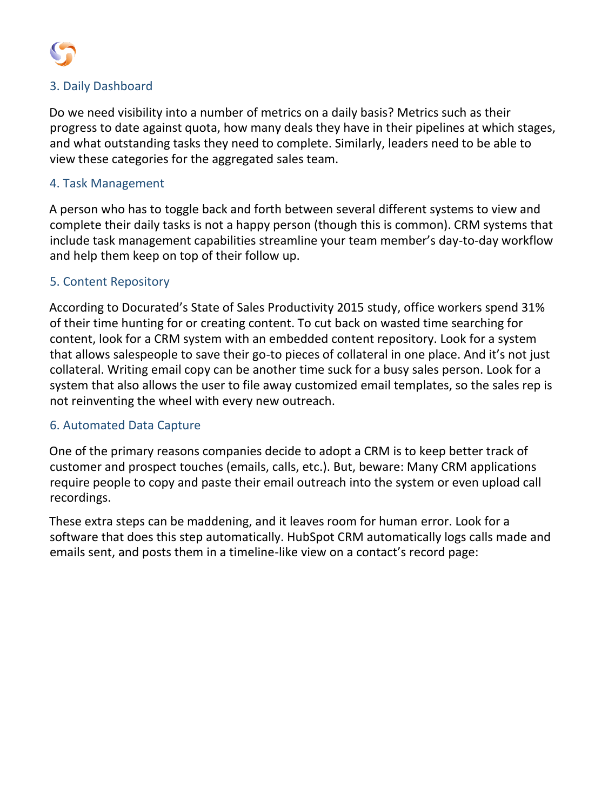

#### 3. Daily Dashboard

Do we need visibility into a number of metrics on a daily basis? Metrics such as their progress to date against quota, how many deals they have in their pipelines at which stages, and what outstanding tasks they need to complete. Similarly, leaders need to be able to view these categories for the aggregated sales team.

#### 4. Task Management

A person who has to toggle back and forth between several different systems to view and complete their daily tasks is not a happy person (though this is common). CRM systems that include task management capabilities streamline your team member's day-to-day workflow and help them keep on top of their follow up.

#### 5. Content Repository

According to Docurated's State of Sales Productivity 2015 study, office workers spend 31% of their time hunting for or creating content. To cut back on wasted time searching for content, look for a CRM system with an embedded content repository. Look for a system that allows salespeople to save their go-to pieces of collateral in one place. And it's not just collateral. Writing email copy can be another time suck for a busy sales person. Look for a system that also allows the user to file away customized email templates, so the sales rep is not reinventing the wheel with every new outreach.

#### 6. Automated Data Capture

One of the primary reasons companies decide to adopt a CRM is to keep better track of customer and prospect touches (emails, calls, etc.). But, beware: Many CRM applications require people to copy and paste their email outreach into the system or even upload call recordings.

These extra steps can be maddening, and it leaves room for human error. Look for a software that does this step automatically. HubSpot CRM automatically logs calls made and emails sent, and posts them in a timeline-like view on a contact's record page: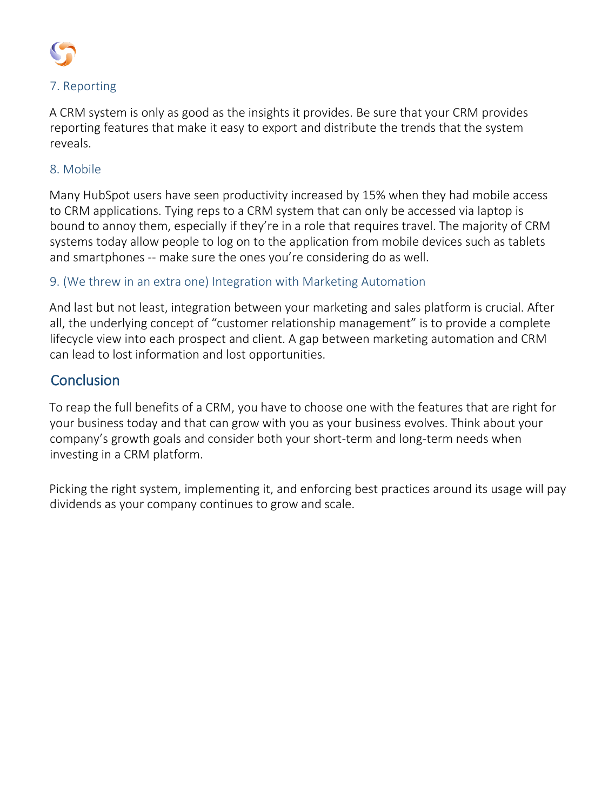

### 7. Reporting

A CRM system is only as good as the insights it provides. Be sure that your CRM provides reporting features that make it easy to export and distribute the trends that the system reveals.

#### 8. Mobile

Many HubSpot users have seen productivity increased by 15% when they had mobile access to CRM applications. Tying reps to a CRM system that can only be accessed via laptop is bound to annoy them, especially if they're in a role that requires travel. The majority of CRM systems today allow people to log on to the application from mobile devices such as tablets and smartphones -- make sure the ones you're considering do as well.

### 9. (We threw in an extra one) Integration with Marketing Automation

And last but not least, integration between your marketing and sales platform is crucial. After all, the underlying concept of "customer relationship management" is to provide a complete lifecycle view into each prospect and client. A gap between marketing automation and CRM can lead to lost information and lost opportunities.

## **Conclusion**

To reap the full benefits of a CRM, you have to choose one with the features that are right for your business today and that can grow with you as your business evolves. Think about your company's growth goals and consider both your short-term and long-term needs when investing in a CRM platform.

Picking the right system, implementing it, and enforcing best practices around its usage will pay dividends as your company continues to grow and scale.